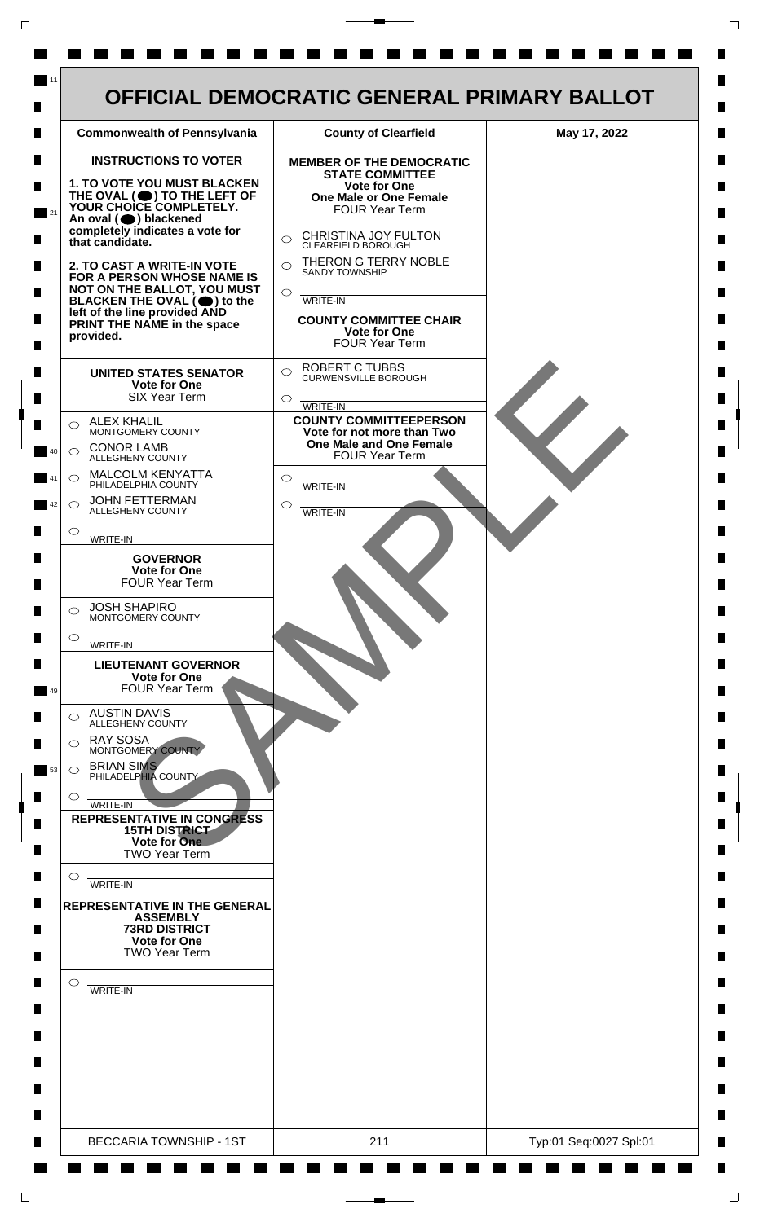| <b>Commonwealth of Pennsylvania</b>                                                                                                                                                                                                                                                                                                                                                                                                                                                                                                                                                                                                                                                                                                                                                                                                                                                                                                                                                                                                                                                                                                                                                                                                                                                                                                                                                                                              | <b>County of Clearfield</b>                                                                                                                                                                                                                                                                                                                                                                                                                                                                                                                                                                                                                                    | May 17, 2022 |
|----------------------------------------------------------------------------------------------------------------------------------------------------------------------------------------------------------------------------------------------------------------------------------------------------------------------------------------------------------------------------------------------------------------------------------------------------------------------------------------------------------------------------------------------------------------------------------------------------------------------------------------------------------------------------------------------------------------------------------------------------------------------------------------------------------------------------------------------------------------------------------------------------------------------------------------------------------------------------------------------------------------------------------------------------------------------------------------------------------------------------------------------------------------------------------------------------------------------------------------------------------------------------------------------------------------------------------------------------------------------------------------------------------------------------------|----------------------------------------------------------------------------------------------------------------------------------------------------------------------------------------------------------------------------------------------------------------------------------------------------------------------------------------------------------------------------------------------------------------------------------------------------------------------------------------------------------------------------------------------------------------------------------------------------------------------------------------------------------------|--------------|
| <b>INSTRUCTIONS TO VOTER</b><br>1. TO VOTE YOU MUST BLACKEN<br>THE OVAL (O) TO THE LEFT OF YOUR CHOICE COMPLETELY.<br>An oval (O) blackened<br>completely indicates a vote for<br>that candidate.<br>2. TO CAST A WRITE-IN VOTE<br>FOR A PERSON WHOSE NAME IS<br>NOT ON THE BALLOT, YOU MUST<br>BLACKEN THE OVAL $(\bullet)$ to the<br>left of the line provided AND<br>PRINT THE NAME in the space<br>provided.<br><b>UNITED STATES SENATOR</b><br><b>Vote for One</b><br><b>SIX Year Term</b><br><b>ALEX KHALIL</b><br>◯<br>MONTGOMERY COUNTY<br><b>CONOR LAMB</b><br>$\bigcirc$<br>ALLEGHENY COUNTY<br><b>MALCOLM KENYATTA</b><br>$\bigcirc$<br>PHILADELPHIA COUNTY<br><b>JOHN FETTERMAN</b><br>$\bigcirc$<br>ALLEGHENY COUNTY<br>O<br>WRITE-IN<br><b>GOVERNOR</b><br><b>Vote for One</b><br><b>FOUR Year Term</b><br><b>JOSH SHAPIRO</b><br>⌒<br>MONTGOMERY COUNTY<br>$\circ$<br>WRITE-IN<br><b>LIEUTENANT GOVERNOR</b><br><b>Vote for One</b><br><b>FOUR Year Term</b><br><b>AUSTIN DAVIS</b><br>ALLEGHENY COUNTY<br><b>RAY SOSA</b><br>⌒<br>MONTGOMERY COUNTY<br><b>BRIAN SIMS</b><br>$\circ$<br>PHILADELPHIA COUNTY<br>O<br>WRITE-IN<br><b>REPRESENTATIVE IN CONGRESS</b><br><b>15TH DISTRICT</b><br>Vote for One<br><b>TWO Year Term</b><br>$\circ$<br>WRITE-IN<br><b>REPRESENTATIVE IN THE GENERAL</b><br><b>ASSEMBLY</b><br><b>73RD DISTRICT</b><br><b>Vote for One</b><br><b>TWO Year Term</b><br>$\circ$<br>WRITE-IN | <b>MEMBER OF THE DEMOCRATIC</b><br><b>STATE COMMITTEE</b><br><b>Vote for One</b><br>One Male or One Female<br><b>FOUR Year Term</b><br>CHRISTINA JOY FULTON<br>$\bigcirc$<br><b>CLEARFIELD BOROUGH</b><br>THERON G TERRY NOBLE<br>$\bigcirc$<br><b>SANDY TOWNSHIP</b><br>$\circ$<br><b>WRITE-IN</b><br><b>COUNTY COMMITTEE CHAIR</b><br>Vote for One<br><b>FOUR Year Term</b><br><b>ROBERT C TUBBS</b><br>$\bigcirc$<br><b>CURWENSVILLE BOROUGH</b><br>$\circ$<br>WRITE-IN<br><b>COUNTY COMMITTEEPERSON</b><br>Vote for not more than Two<br>One Male and One Female<br><b>FOUR Year Term</b><br>$\circ$<br>WRITE-IN<br>$\circlearrowright$<br><b>WRITE-IN</b> |              |
|                                                                                                                                                                                                                                                                                                                                                                                                                                                                                                                                                                                                                                                                                                                                                                                                                                                                                                                                                                                                                                                                                                                                                                                                                                                                                                                                                                                                                                  |                                                                                                                                                                                                                                                                                                                                                                                                                                                                                                                                                                                                                                                                |              |

 $\Gamma$ 

 $\Box$ 

 $\perp$ 

٦